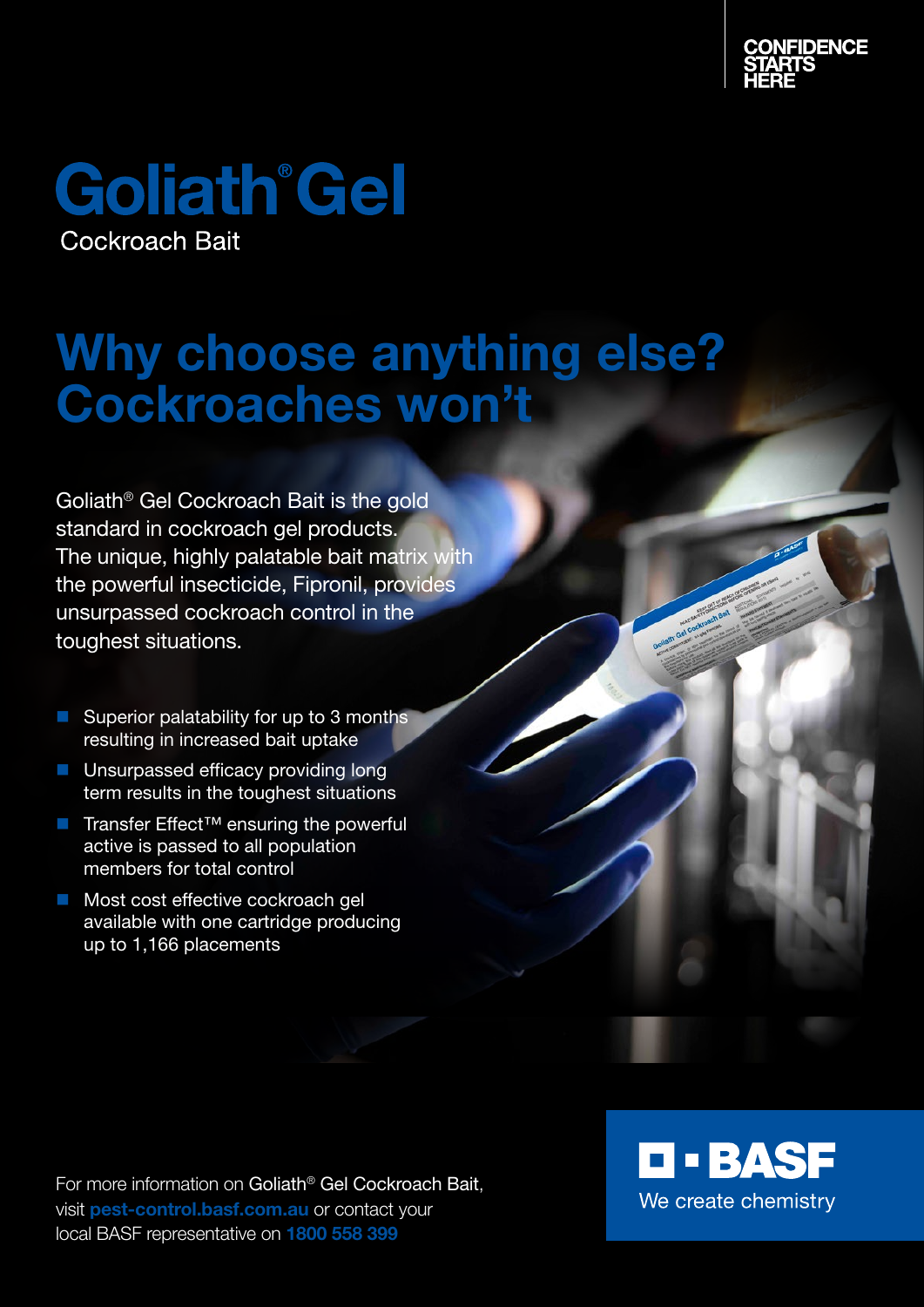

## **Goliath Gel Cockroach Bait**

# Why choose anything else? Cockroaches won't

Goliath® Gel Cockroach Bait is the gold standard in cockroach gel products. The unique, highly palatable bait matrix with the powerful insecticide, Fipronil, provides unsurpassed cockroach control in the toughest situations.

- $\blacksquare$  Superior palatability for up to 3 months resulting in increased bait uptake
- **n** Unsurpassed efficacy providing long term results in the toughest situations
- Transfer Effect<sup>™</sup> ensuring the powerful active is passed to all population members for total control
- **n** Most cost effective cockroach gel available with one cartridge producing up to 1,166 placements

For more information on Goliath® Gel Cockroach Bait, visit pest-control.basf.com.au or contact your local BASF representative on 1800 558 399